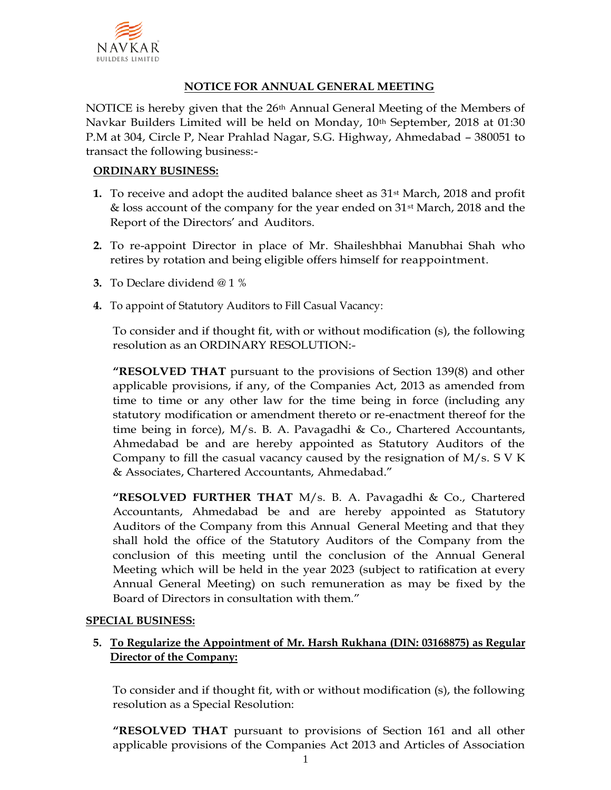

## **NOTICE FOR ANNUAL GENERAL MEETING**

NOTICE is hereby given that the  $26<sup>th</sup>$  Annual General Meeting of the Members of Navkar Builders Limited will be held on Monday, 10th September, 2018 at 01:30 P.M at 304, Circle P, Near Prahlad Nagar, S.G. Highway, Ahmedabad – 380051 to transact the following business:-

#### **ORDINARY BUSINESS:**

- **1.** To receive and adopt the audited balance sheet as 31<sup>st</sup> March, 2018 and profit & loss account of the company for the year ended on 31st March, 2018 and the Report of the Directors' and Auditors.
- **2.** To re-appoint Director in place of Mr. Shaileshbhai Manubhai Shah who retires by rotation and being eligible offers himself for reappointment.
- **3.** To Declare dividend @ 1 %
- **4.** To appoint of Statutory Auditors to Fill Casual Vacancy:

To consider and if thought fit, with or without modification (s), the following resolution as an ORDINARY RESOLUTION:-

**"RESOLVED THAT** pursuant to the provisions of Section 139(8) and other applicable provisions, if any, of the Companies Act, 2013 as amended from time to time or any other law for the time being in force (including any statutory modification or amendment thereto or re-enactment thereof for the time being in force),  $M/s$ . B. A. Pavagadhi & Co., Chartered Accountants, Ahmedabad be and are hereby appointed as Statutory Auditors of the Company to fill the casual vacancy caused by the resignation of  $M/s$ . S V K & Associates, Chartered Accountants, Ahmedabad."

**"RESOLVED FURTHER THAT** M/s. B. A. Pavagadhi & Co., Chartered Accountants, Ahmedabad be and are hereby appointed as Statutory Auditors of the Company from this Annual General Meeting and that they shall hold the office of the Statutory Auditors of the Company from the conclusion of this meeting until the conclusion of the Annual General Meeting which will be held in the year 2023 (subject to ratification at every Annual General Meeting) on such remuneration as may be fixed by the Board of Directors in consultation with them."

### **SPECIAL BUSINESS:**

### **5. To Regularize the Appointment of Mr. Harsh Rukhana (DIN: 03168875) as Regular Director of the Company:**

To consider and if thought fit, with or without modification (s), the following resolution as a Special Resolution:

**"RESOLVED THAT** pursuant to provisions of Section 161 and all other applicable provisions of the Companies Act 2013 and Articles of Association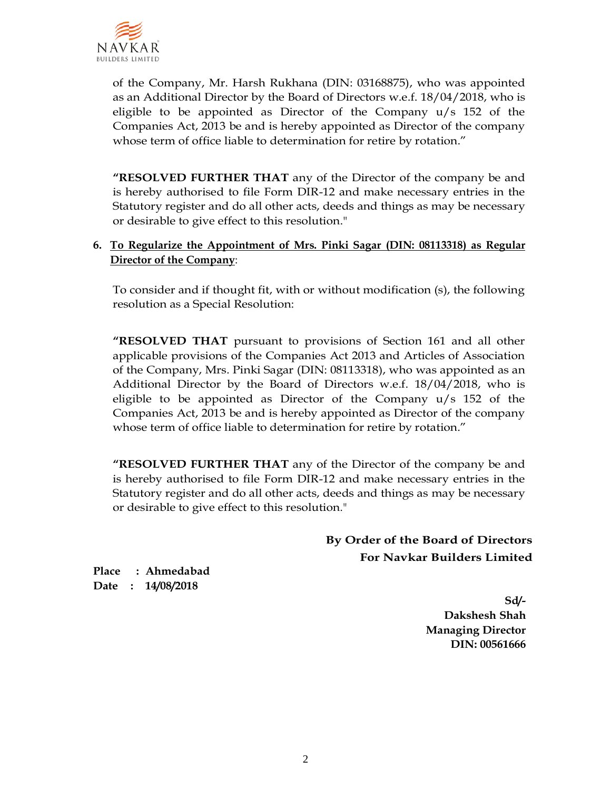

of the Company, Mr. Harsh Rukhana (DIN: 03168875), who was appointed as an Additional Director by the Board of Directors w.e.f. 18/04/2018, who is eligible to be appointed as Director of the Company u/s 152 of the Companies Act, 2013 be and is hereby appointed as Director of the company whose term of office liable to determination for retire by rotation."

**"RESOLVED FURTHER THAT** any of the Director of the company be and is hereby authorised to file Form DIR-12 and make necessary entries in the Statutory register and do all other acts, deeds and things as may be necessary or desirable to give effect to this resolution."

### **6. To Regularize the Appointment of Mrs. Pinki Sagar (DIN: 08113318) as Regular Director of the Company**:

To consider and if thought fit, with or without modification (s), the following resolution as a Special Resolution:

**"RESOLVED THAT** pursuant to provisions of Section 161 and all other applicable provisions of the Companies Act 2013 and Articles of Association of the Company, Mrs. Pinki Sagar (DIN: 08113318), who was appointed as an Additional Director by the Board of Directors w.e.f. 18/04/2018, who is eligible to be appointed as Director of the Company u/s 152 of the Companies Act, 2013 be and is hereby appointed as Director of the company whose term of office liable to determination for retire by rotation."

**"RESOLVED FURTHER THAT** any of the Director of the company be and is hereby authorised to file Form DIR-12 and make necessary entries in the Statutory register and do all other acts, deeds and things as may be necessary or desirable to give effect to this resolution."

> **By Order of the Board of Directors For Navkar Builders Limited**

**Place : Ahmedabad Date : 14/08/2018**

> **Sd/- Dakshesh Shah Managing Director DIN: 00561666**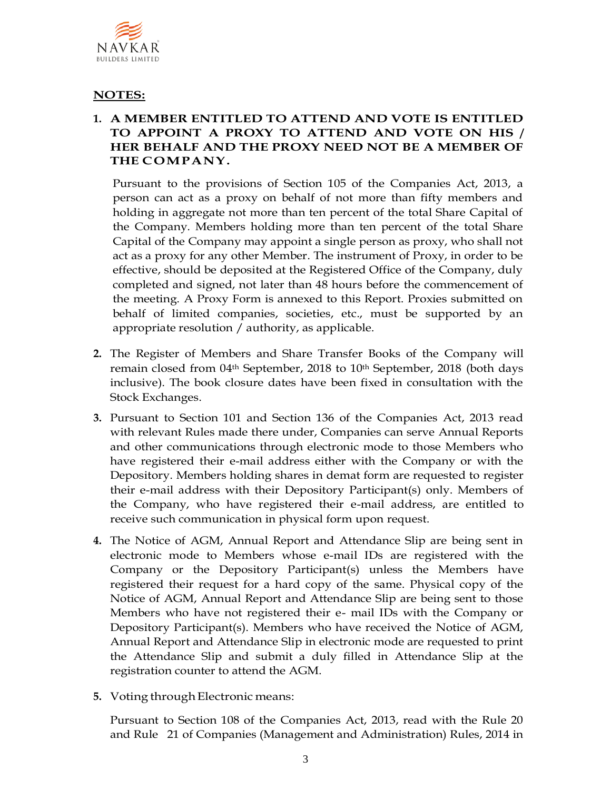

## **NOTES:**

## **1. A MEMBER ENTITLED TO ATTEND AND VOTE IS ENTITLED TO APPOINT A PROXY TO ATTEND AND VOTE ON HIS / HER BEHALF AND THE PROXY NEED NOT BE A MEMBER OF THE COMPANY.**

Pursuant to the provisions of Section 105 of the Companies Act, 2013, a person can act as a proxy on behalf of not more than fifty members and holding in aggregate not more than ten percent of the total Share Capital of the Company. Members holding more than ten percent of the total Share Capital of the Company may appoint a single person as proxy, who shall not act as a proxy for any other Member. The instrument of Proxy, in order to be effective, should be deposited at the Registered Office of the Company, duly completed and signed, not later than 48 hours before the commencement of the meeting. A Proxy Form is annexed to this Report. Proxies submitted on behalf of limited companies, societies, etc., must be supported by an appropriate resolution / authority, as applicable.

- **2.** The Register of Members and Share Transfer Books of the Company will remain closed from 04<sup>th</sup> September, 2018 to 10<sup>th</sup> September, 2018 (both days inclusive). The book closure dates have been fixed in consultation with the Stock Exchanges.
- **3.** Pursuant to Section 101 and Section 136 of the Companies Act, 2013 read with relevant Rules made there under, Companies can serve Annual Reports and other communications through electronic mode to those Members who have registered their e-mail address either with the Company or with the Depository. Members holding shares in demat form are requested to register their e-mail address with their Depository Participant(s) only. Members of the Company, who have registered their e-mail address, are entitled to receive such communication in physical form upon request.
- **4.** The Notice of AGM, Annual Report and Attendance Slip are being sent in electronic mode to Members whose e-mail IDs are registered with the Company or the Depository Participant(s) unless the Members have registered their request for a hard copy of the same. Physical copy of the Notice of AGM, Annual Report and Attendance Slip are being sent to those Members who have not registered their e- mail IDs with the Company or Depository Participant(s). Members who have received the Notice of AGM, Annual Report and Attendance Slip in electronic mode are requested to print the Attendance Slip and submit a duly filled in Attendance Slip at the registration counter to attend the AGM.
- **5.** Voting through Electronic means:

Pursuant to Section 108 of the Companies Act, 2013, read with the Rule 20 and Rule 21 of Companies (Management and Administration) Rules, 2014 in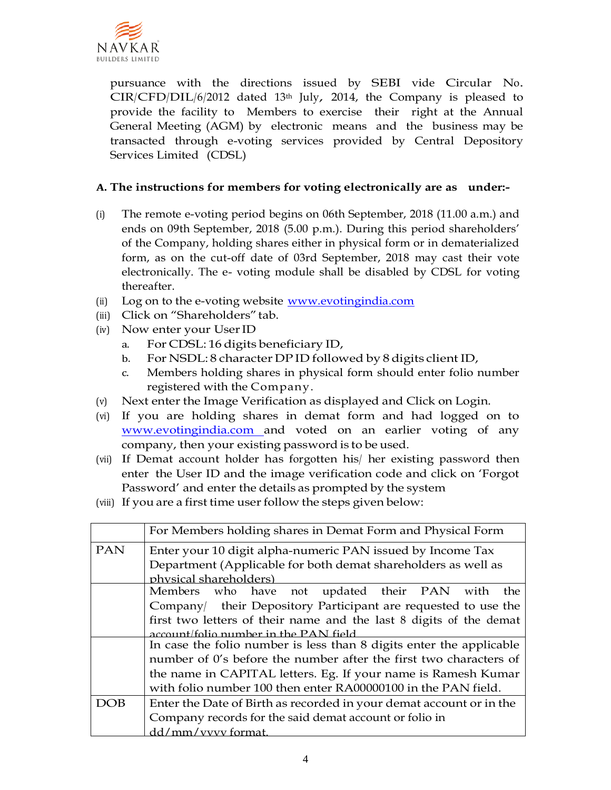

pursuance with the directions issued by SEBI vide Circular No. CIR/CFD/DIL/6/2012 dated 13th July, 2014, the Company is pleased to provide the facility to Members to exercise their right at the Annual General Meeting (AGM) by electronic means and the business may be transacted through e-voting services provided by Central Depository Services Limited (CDSL)

## **A. The instructions for members for voting electronically are as under:-**

- (i) The remote e-voting period begins on 06th September, 2018 (11.00 a.m.) and ends on 09th September, 2018 (5.00 p.m.). During this period shareholders' of the Company, holding shares either in physical form or in dematerialized form, as on the cut-off date of 03rd September, 2018 may cast their vote electronically. The e- voting module shall be disabled by CDSL for voting thereafter.
- (ii) Log on to the e-voting website [www.evotingindia.com](http://www.evotingindia.com/)
- (iii) Click on "Shareholders" tab.
- (iv) Now enter your UserID
	- a. For CDSL: 16 digits beneficiary ID,
	- b. For NSDL: 8 character DP ID followed by 8 digits client ID,
	- c. Members holding shares in physical form should enter folio number registered with the Company.
- (v) Next enter the Image Verification as displayed and Click on Login.
- (vi) If you are holding shares in demat form and had logged on to [www.evotingindia.com a](http://www.evotingindia.com/)nd voted on an earlier voting of any company, then your existing password is to be used.
- (vii) If Demat account holder has forgotten his/ her existing password then enter the User ID and the image verification code and click on 'Forgot Password' and enter the details as prompted by the system
- (iii) If you are a first time user follow the steps given below:

|            | For Members holding shares in Demat Form and Physical Form          |  |  |  |  |  |
|------------|---------------------------------------------------------------------|--|--|--|--|--|
| <b>PAN</b> | Enter your 10 digit alpha-numeric PAN issued by Income Tax          |  |  |  |  |  |
|            | Department (Applicable for both demat shareholders as well as       |  |  |  |  |  |
|            | physical shareholders)                                              |  |  |  |  |  |
|            | Members who have not updated their PAN with<br>the                  |  |  |  |  |  |
|            | Company their Depository Participant are requested to use the       |  |  |  |  |  |
|            | first two letters of their name and the last 8 digits of the demat  |  |  |  |  |  |
|            | account/folio number in the PAN field                               |  |  |  |  |  |
|            | In case the folio number is less than 8 digits enter the applicable |  |  |  |  |  |
|            | number of 0's before the number after the first two characters of   |  |  |  |  |  |
|            | the name in CAPITAL letters. Eg. If your name is Ramesh Kumar       |  |  |  |  |  |
|            | with folio number 100 then enter RA00000100 in the PAN field.       |  |  |  |  |  |
| DOB        | Enter the Date of Birth as recorded in your demat account or in the |  |  |  |  |  |
|            | Company records for the said demat account or folio in              |  |  |  |  |  |
|            | dd/mm/vyyy format.                                                  |  |  |  |  |  |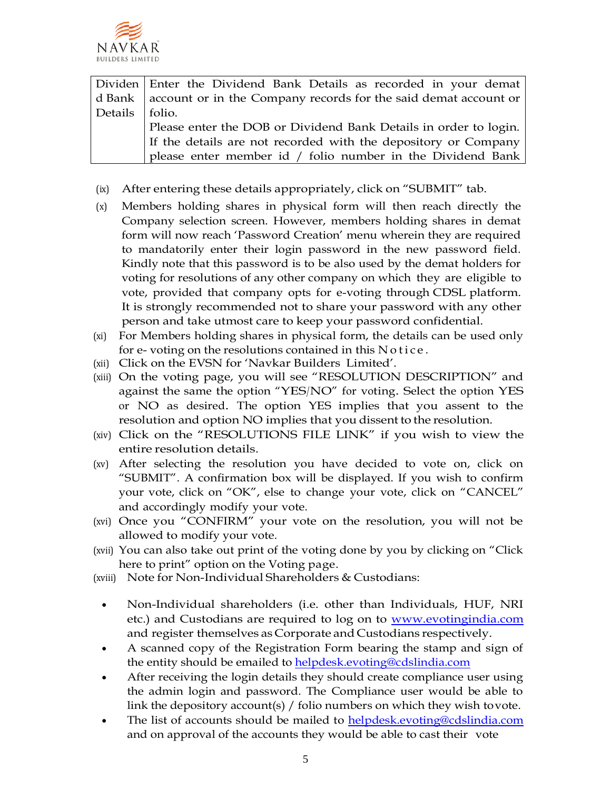

|                  | Dividen   Enter the Dividend Bank Details as recorded in your demat              |
|------------------|----------------------------------------------------------------------------------|
|                  | d Bank   account or in the Company records for the said demat account or $\vert$ |
| Details   folio. |                                                                                  |
|                  | Please enter the DOB or Dividend Bank Details in order to login.                 |
|                  | If the details are not recorded with the depository or Company                   |
|                  | please enter member id / folio number in the Dividend Bank                       |

- (ix) After entering these details appropriately, click on "SUBMIT" tab.
- (x) Members holding shares in physical form will then reach directly the Company selection screen. However, members holding shares in demat form will now reach 'Password Creation' menu wherein they are required to mandatorily enter their login password in the new password field. Kindly note that this password is to be also used by the demat holders for voting for resolutions of any other company on which they are eligible to vote, provided that company opts for e-voting through CDSL platform. It is strongly recommended not to share your password with any other person and take utmost care to keep your password confidential.
- (xi) For Members holding shares in physical form, the details can be used only for e- voting on the resolutions contained in this Notice.
- (xii) Click on the EVSN for 'Navkar Builders Limited'.
- (xiii) On the voting page, you will see "RESOLUTION DESCRIPTION" and against the same the option "YES/NO" for voting. Select the option YES or NO as desired. The option YES implies that you assent to the resolution and option NO implies that you dissent to the resolution.
- (xiv) Click on the "RESOLUTIONS FILE LINK" if you wish to view the entire resolution details.
- (xv) After selecting the resolution you have decided to vote on, click on "SUBMIT". A confirmation box will be displayed. If you wish to confirm your vote, click on "OK", else to change your vote, click on "CANCEL" and accordingly modify your vote.
- (xvi) Once you "CONFIRM" your vote on the resolution, you will not be allowed to modify your vote.
- (xvii) You can also take out print of the voting done by you by clicking on "Click here to print" option on the Voting page.
- (xviii) Note for Non-Individual Shareholders & Custodians:
	- Non-Individual shareholders (i.e. other than Individuals, HUF, NRI etc.) and Custodians are required to log on to **www.evotingindia.com** and register themselves as Corporate and Custodians respectively.
	- A scanned copy of the Registration Form bearing the stamp and sign of the entity should be emailed to [helpdesk.evoting@cdslindia.com](mailto:helpdesk.evoting@cdslindia.com)
	- After receiving the login details they should create compliance user using the admin login and password. The Compliance user would be able to link the depository account(s) / folio numbers on which they wish tovote.
	- The list of accounts should be mailed to helpdesk.evoting@cdslindia.com and on approval of the accounts they would be able to cast their vote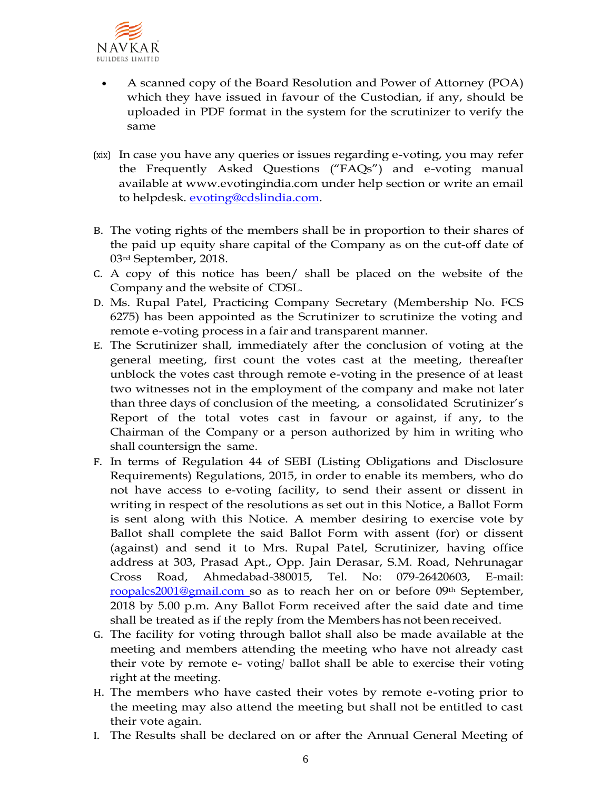

- A scanned copy of the Board Resolution and Power of Attorney (POA) which they have issued in favour of the Custodian, if any, should be uploaded in PDF format in the system for the scrutinizer to verify the same
- (xix) In case you have any queries or issues regarding e-voting, you may refer the Frequently Asked Questions ("FAQs") and e-voting manual available at [www.evotingindia.com u](http://www.evotingindia.com/)nder help section or write an email to helpdesk. [evoting@cdslindia.com.](mailto:evoting@cdslindia.com)
- B. The voting rights of the members shall be in proportion to their shares of the paid up equity share capital of the Company as on the cut-off date of 03rd September, 2018.
- C. A copy of this notice has been/ shall be placed on the website of the Company and the website of CDSL.
- D. Ms. Rupal Patel, Practicing Company Secretary (Membership No. FCS 6275) has been appointed as the Scrutinizer to scrutinize the voting and remote e-voting process in a fair and transparent manner.
- E. The Scrutinizer shall, immediately after the conclusion of voting at the general meeting, first count the votes cast at the meeting, thereafter unblock the votes cast through remote e-voting in the presence of at least two witnesses not in the employment of the company and make not later than three days of conclusion of the meeting, a consolidated Scrutinizer's Report of the total votes cast in favour or against, if any, to the Chairman of the Company or a person authorized by him in writing who shall countersign the same.
- F. In terms of Regulation 44 of SEBI (Listing Obligations and Disclosure Requirements) Regulations, 2015, in order to enable its members, who do not have access to e-voting facility, to send their assent or dissent in writing in respect of the resolutions as set out in this Notice, a Ballot Form is sent along with this Notice. A member desiring to exercise vote by Ballot shall complete the said Ballot Form with assent (for) or dissent (against) and send it to Mrs. Rupal Patel, Scrutinizer, having office address at 303, Prasad Apt., Opp. Jain Derasar, S.M. Road, Nehrunagar Cross Road, Ahmedabad-380015, Tel. No: 079-26420603, E-mail: [roopalcs2001@gmail.com s](mailto:roopalcs2001@gmail.com)o as to reach her on or before 09th September, 2018 by 5.00 p.m. Any Ballot Form received after the said date and time shall be treated as if the reply from the Members hasnot been received.
- G. The facility for voting through ballot shall also be made available at the meeting and members attending the meeting who have not already cast their vote by remote e- voting/ ballot shall be able to exercise their voting right at the meeting.
- H. The members who have casted their votes by remote e-voting prior to the meeting may also attend the meeting but shall not be entitled to cast their vote again.
- I. The Results shall be declared on or after the Annual General Meeting of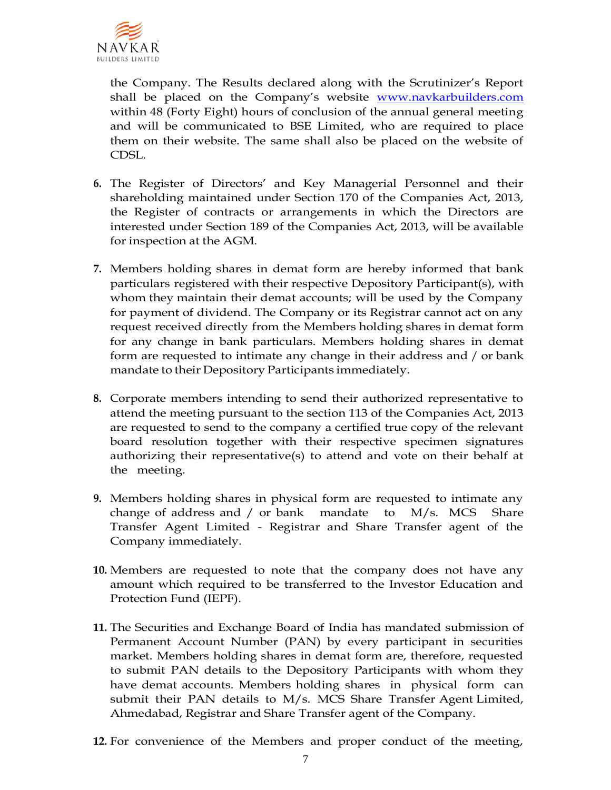

the Company. The Results declared along with the Scrutinizer's Report shall be placed on the Company's website www.navkarbuilders.com within 48 (Forty Eight) hours of conclusion of the annual general meeting and will be communicated to BSE Limited, who are required to place them on their website. The same shall also be placed on the website of CDSL.

- **6.** The Register of Directors' and Key Managerial Personnel and their shareholding maintained under Section 170 of the Companies Act, 2013, the Register of contracts or arrangements in which the Directors are interested under Section 189 of the Companies Act, 2013, will be available for inspection at the AGM.
- **7.** Members holding shares in demat form are hereby informed that bank particulars registered with their respective Depository Participant(s), with whom they maintain their demat accounts; will be used by the Company for payment of dividend. The Company or its Registrar cannot act on any request received directly from the Members holding shares in demat form for any change in bank particulars. Members holding shares in demat form are requested to intimate any change in their address and / or bank mandate to their Depository Participants immediately.
- **8.** Corporate members intending to send their authorized representative to attend the meeting pursuant to the section 113 of the Companies Act, 2013 are requested to send to the company a certified true copy of the relevant board resolution together with their respective specimen signatures authorizing their representative(s) to attend and vote on their behalf at the meeting.
- **9.** Members holding shares in physical form are requested to intimate any change of address and / or bank mandate to M/s. MCS Share Transfer Agent Limited - Registrar and Share Transfer agent of the Company immediately.
- **10.** Members are requested to note that the company does not have any amount which required to be transferred to the Investor Education and Protection Fund (IEPF).
- **11.** The Securities and Exchange Board of India has mandated submission of Permanent Account Number (PAN) by every participant in securities market. Members holding shares in demat form are, therefore, requested to submit PAN details to the Depository Participants with whom they have demat accounts. Members holding shares in physical form can submit their PAN details to M/s. MCS Share Transfer Agent Limited, Ahmedabad, Registrar and Share Transfer agent of the Company.
- **12.** For convenience of the Members and proper conduct of the meeting,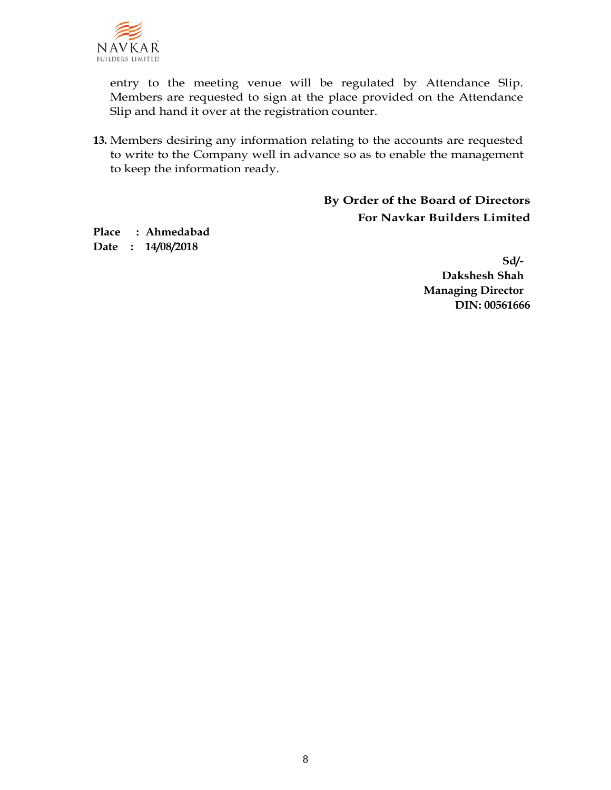

entry to the meeting venue will be regulated by Attendance Slip. Members are requested to sign at the place provided on the Attendance Slip and hand it over at the registration counter.

**13.** Members desiring any information relating to the accounts are requested to write to the Company well in advance so as to enable the management to keep the information ready.

> **By Order of the Board of Directors For Navkar Builders Limited**

**Place : Ahmedabad Date : 14/08/2018**

> **Sd/- Dakshesh Shah Managing Director DIN: 00561666**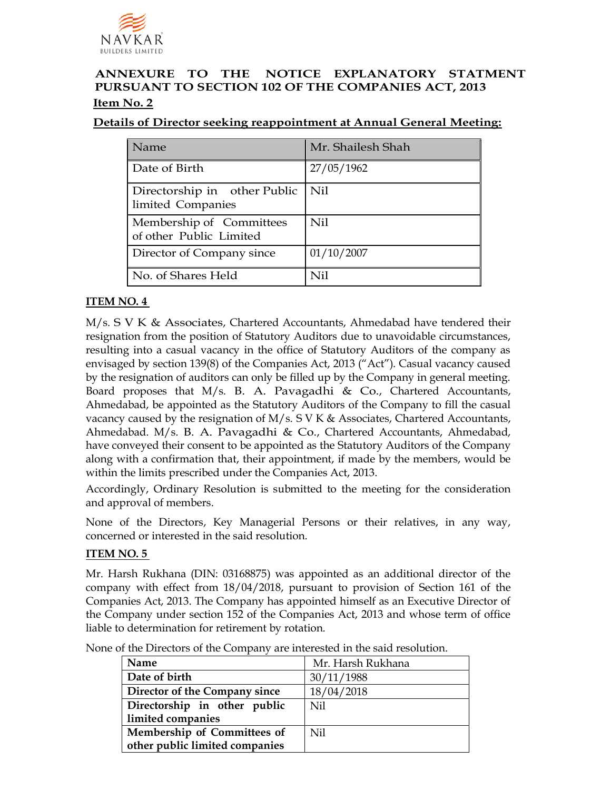

## **ANNEXURE TO THE NOTICE EXPLANATORY STATMENT PURSUANT TO SECTION 102 OF THE COMPANIES ACT, 2013 Item No. 2**

### **Details of Director seeking reappointment at Annual General Meeting:**

| Name                                                | Mr. Shailesh Shah |
|-----------------------------------------------------|-------------------|
| Date of Birth                                       | 27/05/1962        |
| Directorship in other Public<br>limited Companies   | $\parallel$ Nil   |
| Membership of Committees<br>of other Public Limited | Nil               |
| Director of Company since                           | 01/10/2007        |
| No. of Shares Held                                  | Ni1               |

## **ITEM NO. 4**

M/s. S V K & Associates, Chartered Accountants, Ahmedabad have tendered their resignation from the position of Statutory Auditors due to unavoidable circumstances, resulting into a casual vacancy in the office of Statutory Auditors of the company as envisaged by section 139(8) of the Companies Act, 2013 ("Act"). Casual vacancy caused by the resignation of auditors can only be filled up by the Company in general meeting. Board proposes that  $M/s$ . B. A. Pavagadhi & Co., Chartered Accountants, Ahmedabad, be appointed as the Statutory Auditors of the Company to fill the casual vacancy caused by the resignation of M/s. S V K & Associates, Chartered Accountants, Ahmedabad. M/s. B. A. Pavagadhi & Co., Chartered Accountants, Ahmedabad, have conveyed their consent to be appointed as the Statutory Auditors of the Company along with a confirmation that, their appointment, if made by the members, would be within the limits prescribed under the Companies Act, 2013.

Accordingly, Ordinary Resolution is submitted to the meeting for the consideration and approval of members.

None of the Directors, Key Managerial Persons or their relatives, in any way, concerned or interested in the said resolution.

### **ITEM NO. 5**

Mr. Harsh Rukhana (DIN: 03168875) was appointed as an additional director of the company with effect from 18/04/2018, pursuant to provision of Section 161 of the Companies Act, 2013. The Company has appointed himself as an Executive Director of the Company under section 152 of the Companies Act, 2013 and whose term of office liable to determination for retirement by rotation.

| None of the Directors of the Company are interested in the said resolution. |
|-----------------------------------------------------------------------------|
|-----------------------------------------------------------------------------|

| <b>Name</b>                    | Mr. Harsh Rukhana |
|--------------------------------|-------------------|
| Date of birth                  | 30/11/1988        |
| Director of the Company since  | 18/04/2018        |
| Directorship in other public   | Nil               |
| limited companies              |                   |
| Membership of Committees of    | Nil               |
| other public limited companies |                   |